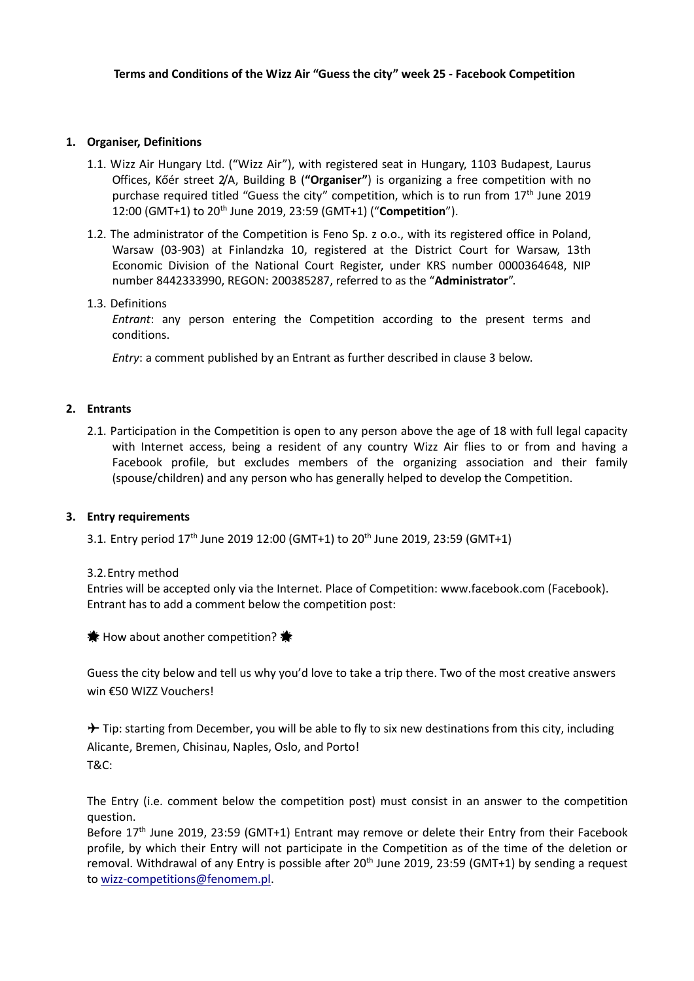### **1. Organiser, Definitions**

- 1.1. Wizz Air Hungary Ltd. ("Wizz Air"), with registered seat in Hungary, 1103 Budapest, Laurus Offices, Kőér street 2/A, Building B (**"Organiser"**) is organizing a free competition with no purchase required titled "Guess the city" competition, which is to run from  $17<sup>th</sup>$  June 2019 12:00 (GMT+1) to 20th June 2019, 23:59 (GMT+1) ("**Competition**").
- 1.2. The administrator of the Competition is Feno Sp. z o.o., with its registered office in Poland, Warsaw (03-903) at Finlandzka 10, registered at the District Court for Warsaw, 13th Economic Division of the National Court Register, under KRS number 0000364648, NIP number 8442333990, REGON: 200385287, referred to as the "**Administrator**".

### 1.3. Definitions

*Entrant*: any person entering the Competition according to the present terms and conditions.

*Entry*: a comment published by an Entrant as further described in clause 3 below.

### **2. Entrants**

2.1. Participation in the Competition is open to any person above the age of 18 with full legal capacity with Internet access, being a resident of any country Wizz Air flies to or from and having a Facebook profile, but excludes members of the organizing association and their family (spouse/children) and any person who has generally helped to develop the Competition.

### **3. Entry requirements**

3.1. Entry period 17<sup>th</sup> June 2019 12:00 (GMT+1) to 20<sup>th</sup> June 2019, 23:59 (GMT+1)

### 3.2.Entry method

Entries will be accepted only via the Internet. Place of Competition: www.facebook.com (Facebook). Entrant has to add a comment below the competition post:

 $\bigstar$  How about another competition?  $\bigstar$ 

Guess the city below and tell us why you'd love to take a trip there. Two of the most creative answers win €50 WIZZ Vouchers!

 $\rightarrow$  Tip: starting from December, you will be able to fly to six new destinations from this city, including Alicante, Bremen, Chisinau, Naples, Oslo, and Porto! T&C:

The Entry (i.e. comment below the competition post) must consist in an answer to the competition question.

Before 17<sup>th</sup> June 2019, 23:59 (GMT+1) Entrant may remove or delete their Entry from their Facebook profile, by which their Entry will not participate in the Competition as of the time of the deletion or removal. Withdrawal of any Entry is possible after 20<sup>th</sup> June 2019, 23:59 (GMT+1) by sending a request t[o wizz-competitions@fenomem.pl.](mailto:wizz-competitions@fenomem.pl)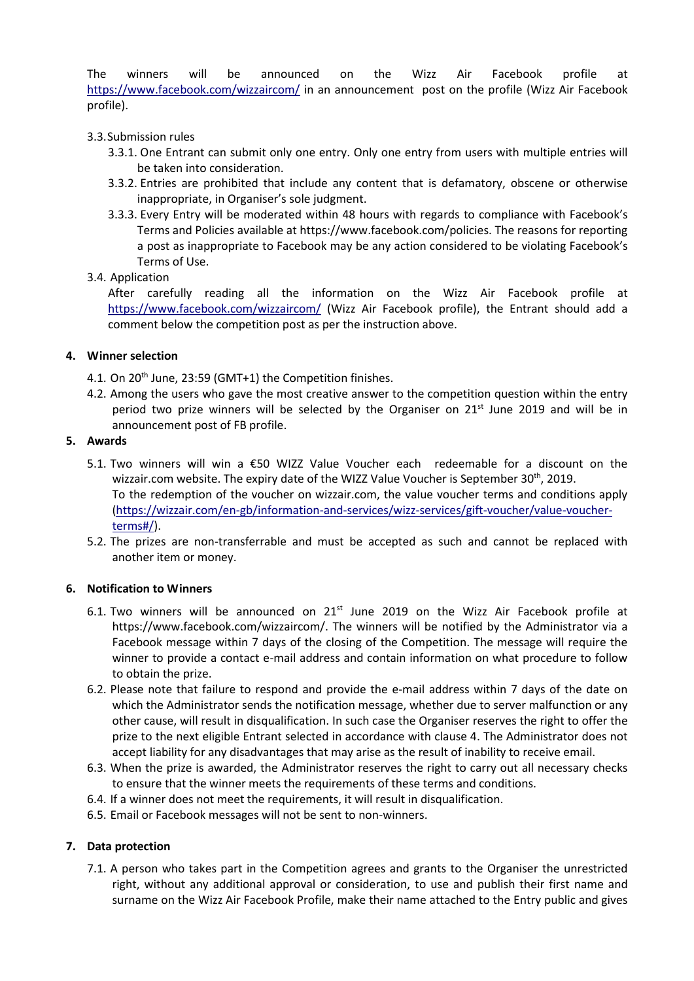The winners will be announced on the Wizz Air Facebook profile at <https://www.facebook.com/wizzaircom/> in an announcement post on the profile (Wizz Air Facebook profile).

## 3.3.Submission rules

- 3.3.1. One Entrant can submit only one entry. Only one entry from users with multiple entries will be taken into consideration.
- 3.3.2. Entries are prohibited that include any content that is defamatory, obscene or otherwise inappropriate, in Organiser's sole judgment.
- 3.3.3. Every Entry will be moderated within 48 hours with regards to compliance with Facebook's Terms and Policies available at https://www.facebook.com/policies. The reasons for reporting a post as inappropriate to Facebook may be any action considered to be violating Facebook's Terms of Use.

### 3.4. Application

After carefully reading all the information on the Wizz Air Facebook profile at <https://www.facebook.com/wizzaircom/> (Wizz Air Facebook profile), the Entrant should add a comment below the competition post as per the instruction above.

## **4. Winner selection**

- 4.1. On 20<sup>th</sup> June, 23:59 (GMT+1) the Competition finishes.
- 4.2. Among the users who gave the most creative answer to the competition question within the entry period two prize winners will be selected by the Organiser on  $21<sup>st</sup>$  June 2019 and will be in announcement post of FB profile.

### **5. Awards**

- 5.1. Two winners will win a €50 WIZZ Value Voucher each redeemable for a discount on the wizzair.com website. The expiry date of the WIZZ Value Voucher is September 30<sup>th</sup>, 2019. To the redemption of the voucher on wizzair.com, the value voucher terms and conditions apply [\(https://wizzair.com/en-gb/information-and-services/wizz-services/gift-voucher/value-voucher](https://wizzair.com/en-gb/information-and-services/wizz-services/gift-voucher/value-voucher-terms#/)[terms#/\)](https://wizzair.com/en-gb/information-and-services/wizz-services/gift-voucher/value-voucher-terms#/).
- 5.2. The prizes are non-transferrable and must be accepted as such and cannot be replaced with another item or money.

### **6. Notification to Winners**

- 6.1. Two winners will be announced on  $21^{st}$  June 2019 on the Wizz Air Facebook profile at https://www.facebook.com/wizzaircom/. The winners will be notified by the Administrator via a Facebook message within 7 days of the closing of the Competition. The message will require the winner to provide a contact e-mail address and contain information on what procedure to follow to obtain the prize.
- 6.2. Please note that failure to respond and provide the e-mail address within 7 days of the date on which the Administrator sends the notification message, whether due to server malfunction or any other cause, will result in disqualification. In such case the Organiser reserves the right to offer the prize to the next eligible Entrant selected in accordance with clause 4. The Administrator does not accept liability for any disadvantages that may arise as the result of inability to receive email.
- 6.3. When the prize is awarded, the Administrator reserves the right to carry out all necessary checks to ensure that the winner meets the requirements of these terms and conditions.
- 6.4. If a winner does not meet the requirements, it will result in disqualification.
- 6.5. Email or Facebook messages will not be sent to non-winners.

### **7. Data protection**

7.1. A person who takes part in the Competition agrees and grants to the Organiser the unrestricted right, without any additional approval or consideration, to use and publish their first name and surname on the Wizz Air Facebook Profile, make their name attached to the Entry public and gives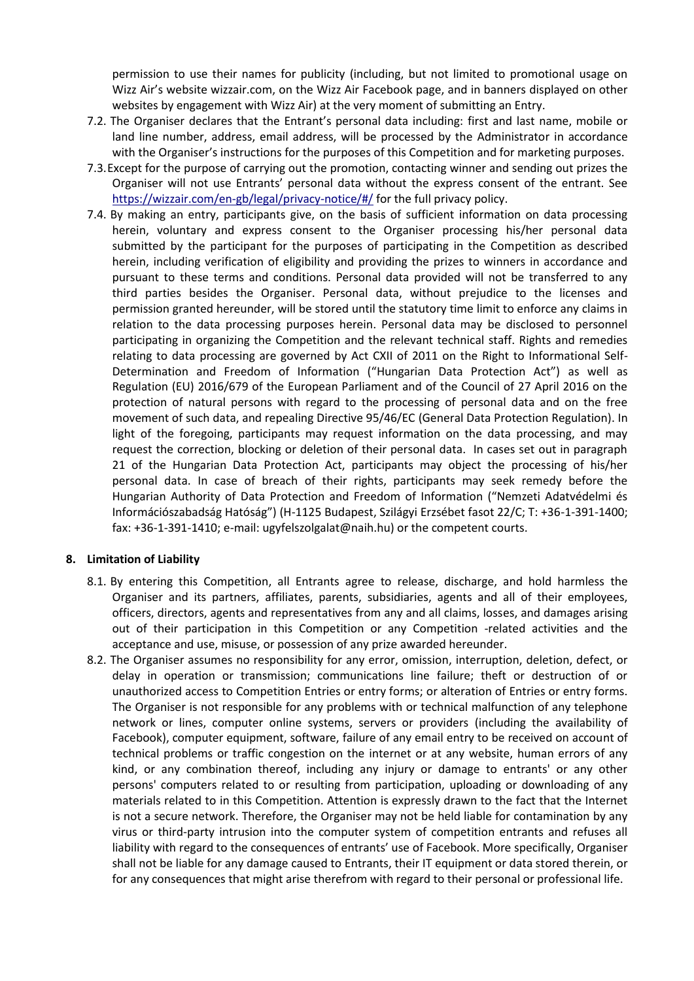permission to use their names for publicity (including, but not limited to promotional usage on Wizz Air's website [wizzair.com,](http://www.wizzair.com/) on the Wizz Air Facebook page, and in banners displayed on other websites by engagement with Wizz Air) at the very moment of submitting an Entry.

- 7.2. The Organiser declares that the Entrant's personal data including: first and last name, mobile or land line number, address, email address, will be processed by the Administrator in accordance with the Organiser's instructions for the purposes of this Competition and for marketing purposes.
- 7.3.Except for the purpose of carrying out the promotion, contacting winner and sending out prizes the Organiser will not use Entrants' personal data without the express consent of the entrant. See <https://wizzair.com/en-gb/legal/privacy-notice/#/> for the full privacy policy.
- 7.4. By making an entry, participants give, on the basis of sufficient information on data processing herein, voluntary and express consent to the Organiser processing his/her personal data submitted by the participant for the purposes of participating in the Competition as described herein, including verification of eligibility and providing the prizes to winners in accordance and pursuant to these terms and conditions. Personal data provided will not be transferred to any third parties besides the Organiser. Personal data, without prejudice to the licenses and permission granted hereunder, will be stored until the statutory time limit to enforce any claims in relation to the data processing purposes herein. Personal data may be disclosed to personnel participating in organizing the Competition and the relevant technical staff. Rights and remedies relating to data processing are governed by Act CXII of 2011 on the Right to Informational Self-Determination and Freedom of Information ("Hungarian Data Protection Act") as well as Regulation (EU) 2016/679 of the European Parliament and of the Council of 27 April 2016 on the protection of natural persons with regard to the processing of personal data and on the free movement of such data, and repealing Directive 95/46/EC (General Data Protection Regulation). In light of the foregoing, participants may request information on the data processing, and may request the correction, blocking or deletion of their personal data. In cases set out in paragraph 21 of the Hungarian Data Protection Act, participants may object the processing of his/her personal data. In case of breach of their rights, participants may seek remedy before the Hungarian Authority of Data Protection and Freedom of Information ("Nemzeti Adatvédelmi és Információszabadság Hatóság") (H-1125 Budapest, Szilágyi Erzsébet fasot 22/C; T: +36-1-391-1400; fax: +36-1-391-1410; e-mail: [ugyfelszolgalat@naih.hu\)](mailto:ugyfelszolgalat@naih.hu) or the competent courts.

### **8. Limitation of Liability**

- 8.1. By entering this Competition, all Entrants agree to release, discharge, and hold harmless the Organiser and its partners, affiliates, parents, subsidiaries, agents and all of their employees, officers, directors, agents and representatives from any and all claims, losses, and damages arising out of their participation in this Competition or any Competition -related activities and the acceptance and use, misuse, or possession of any prize awarded hereunder.
- 8.2. The Organiser assumes no responsibility for any error, omission, interruption, deletion, defect, or delay in operation or transmission; communications line failure; theft or destruction of or unauthorized access to Competition Entries or entry forms; or alteration of Entries or entry forms. The Organiser is not responsible for any problems with or technical malfunction of any telephone network or lines, computer online systems, servers or providers (including the availability of Facebook), computer equipment, software, failure of any email entry to be received on account of technical problems or traffic congestion on the internet or at any website, human errors of any kind, or any combination thereof, including any injury or damage to entrants' or any other persons' computers related to or resulting from participation, uploading or downloading of any materials related to in this Competition. Attention is expressly drawn to the fact that the Internet is not a secure network. Therefore, the Organiser may not be held liable for contamination by any virus or third-party intrusion into the computer system of competition entrants and refuses all liability with regard to the consequences of entrants' use of Facebook. More specifically, Organiser shall not be liable for any damage caused to Entrants, their IT equipment or data stored therein, or for any consequences that might arise therefrom with regard to their personal or professional life.